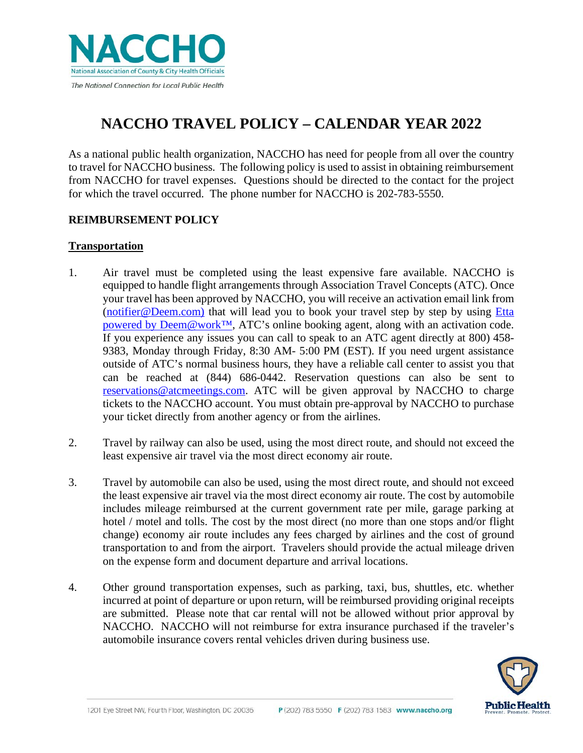

# **NACCHO TRAVEL POLICY – CALENDAR YEAR 2022**

As a national public health organization, NACCHO has need for people from all over the country to travel for NACCHO business. The following policy is used to assist in obtaining reimbursement from NACCHO for travel expenses. Questions should be directed to the contact for the project for which the travel occurred. The phone number for NACCHO is 202-783-5550.

# **REIMBURSEMENT POLICY**

# **Transportation**

- 1. Air travel must be completed using the least expensive fare available. NACCHO is equipped to handle flight arrangements through Association Travel Concepts (ATC). Once your travel has been approved by NACCHO, you will receive an activation email link from [\(notifier@Deem.com\)](mailto:notifier@Deem.com) that will lead you to book your travel step by step by using Etta [powered by Deem@work™,](http://naccho-atc.deem.com/) ATC's online booking agent, along with an activation code. If you experience any issues you can call to speak to an ATC agent directly at 800) 458- 9383, Monday through Friday, 8:30 AM- 5:00 PM (EST). If you need urgent assistance outside of ATC's normal business hours, they have a reliable call center to assist you that can be reached at (844) 686-0442. Reservation questions can also be sent to [reservations@atcmeetings.com.](mailto:reservations@atcmeetings.com) ATC will be given approval by NACCHO to charge tickets to the NACCHO account. You must obtain pre-approval by NACCHO to purchase your ticket directly from another agency or from the airlines.
- 2. Travel by railway can also be used, using the most direct route, and should not exceed the least expensive air travel via the most direct economy air route.
- 3. Travel by automobile can also be used, using the most direct route, and should not exceed the least expensive air travel via the most direct economy air route. The cost by automobile includes mileage reimbursed at the current government rate per mile, garage parking at hotel / motel and tolls. The cost by the most direct (no more than one stops and/or flight change) economy air route includes any fees charged by airlines and the cost of ground transportation to and from the airport. Travelers should provide the actual mileage driven on the expense form and document departure and arrival locations.
- 4. Other ground transportation expenses, such as parking, taxi, bus, shuttles, etc. whether incurred at point of departure or upon return, will be reimbursed providing original receipts are submitted. Please note that car rental will not be allowed without prior approval by NACCHO. NACCHO will not reimburse for extra insurance purchased if the traveler's automobile insurance covers rental vehicles driven during business use.

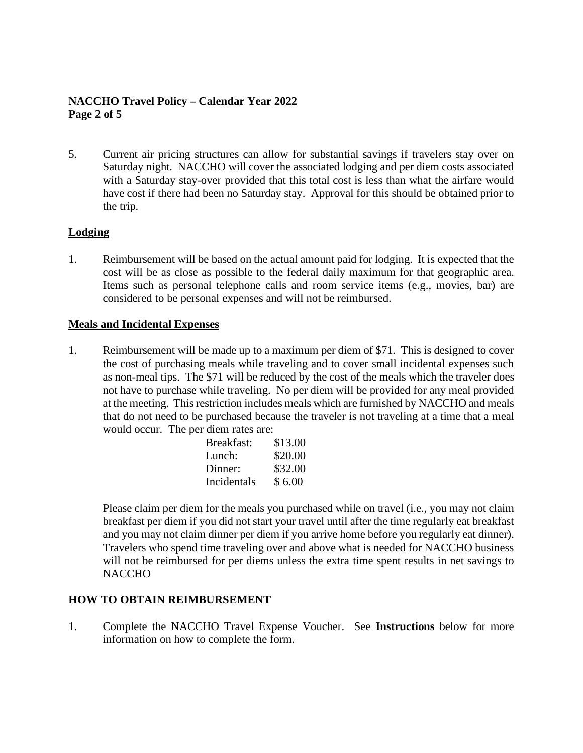# **NACCHO Travel Policy – Calendar Year 2022 Page 2 of 5**

5. Current air pricing structures can allow for substantial savings if travelers stay over on Saturday night. NACCHO will cover the associated lodging and per diem costs associated with a Saturday stay-over provided that this total cost is less than what the airfare would have cost if there had been no Saturday stay. Approval for this should be obtained prior to the trip.

# **Lodging**

1. Reimbursement will be based on the actual amount paid for lodging. It is expected that the cost will be as close as possible to the federal daily maximum for that geographic area. Items such as personal telephone calls and room service items (e.g., movies, bar) are considered to be personal expenses and will not be reimbursed.

## **Meals and Incidental Expenses**

1. Reimbursement will be made up to a maximum per diem of \$71. This is designed to cover the cost of purchasing meals while traveling and to cover small incidental expenses such as non-meal tips. The \$71 will be reduced by the cost of the meals which the traveler does not have to purchase while traveling. No per diem will be provided for any meal provided at the meeting. This restriction includes meals which are furnished by NACCHO and meals that do not need to be purchased because the traveler is not traveling at a time that a meal would occur. The per diem rates are:

| Breakfast:  | \$13.00 |
|-------------|---------|
| Lunch:      | \$20.00 |
| Dinner:     | \$32.00 |
| Incidentals | \$6.00  |

Please claim per diem for the meals you purchased while on travel (i.e., you may not claim breakfast per diem if you did not start your travel until after the time regularly eat breakfast and you may not claim dinner per diem if you arrive home before you regularly eat dinner). Travelers who spend time traveling over and above what is needed for NACCHO business will not be reimbursed for per diems unless the extra time spent results in net savings to **NACCHO** 

# **HOW TO OBTAIN REIMBURSEMENT**

1. Complete the NACCHO Travel Expense Voucher. See **Instructions** below for more information on how to complete the form.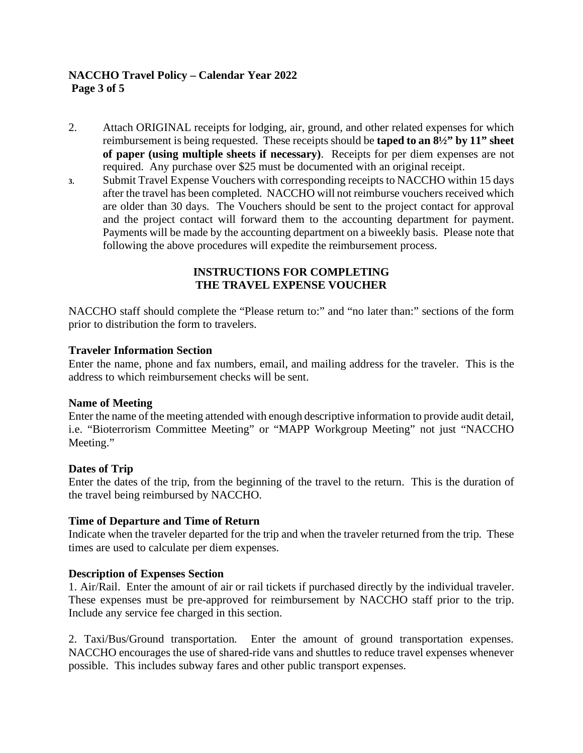# **NACCHO Travel Policy – Calendar Year 2022 Page 3 of 5**

- 2. Attach ORIGINAL receipts for lodging, air, ground, and other related expenses for which reimbursement is being requested. These receipts should be **taped to an 8½" by 11" sheet of paper (using multiple sheets if necessary)**. Receipts for per diem expenses are not required. Any purchase over \$25 must be documented with an original receipt.
- **3.** Submit Travel Expense Vouchers with corresponding receipts to NACCHO within 15 days after the travel has been completed. NACCHO will not reimburse vouchers received which are older than 30 days. The Vouchers should be sent to the project contact for approval and the project contact will forward them to the accounting department for payment. Payments will be made by the accounting department on a biweekly basis. Please note that following the above procedures will expedite the reimbursement process.

## **INSTRUCTIONS FOR COMPLETING THE TRAVEL EXPENSE VOUCHER**

NACCHO staff should complete the "Please return to:" and "no later than:" sections of the form prior to distribution the form to travelers.

## **Traveler Information Section**

Enter the name, phone and fax numbers, email, and mailing address for the traveler. This is the address to which reimbursement checks will be sent.

#### **Name of Meeting**

Enter the name of the meeting attended with enough descriptive information to provide audit detail, i.e. "Bioterrorism Committee Meeting" or "MAPP Workgroup Meeting" not just "NACCHO Meeting."

#### **Dates of Trip**

Enter the dates of the trip, from the beginning of the travel to the return. This is the duration of the travel being reimbursed by NACCHO.

#### **Time of Departure and Time of Return**

Indicate when the traveler departed for the trip and when the traveler returned from the trip. These times are used to calculate per diem expenses.

#### **Description of Expenses Section**

1. Air/Rail. Enter the amount of air or rail tickets if purchased directly by the individual traveler. These expenses must be pre-approved for reimbursement by NACCHO staff prior to the trip. Include any service fee charged in this section.

2. Taxi/Bus/Ground transportation. Enter the amount of ground transportation expenses. NACCHO encourages the use of shared-ride vans and shuttles to reduce travel expenses whenever possible. This includes subway fares and other public transport expenses.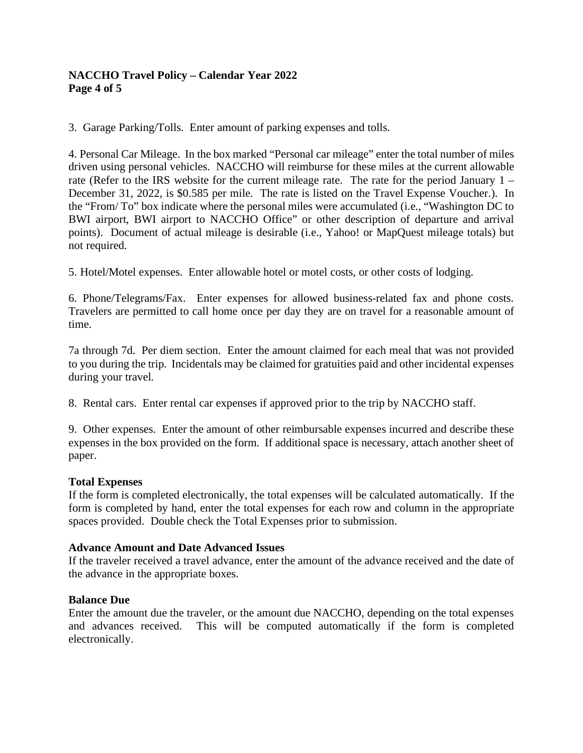# **NACCHO Travel Policy – Calendar Year 2022 Page 4 of 5**

3. Garage Parking/Tolls. Enter amount of parking expenses and tolls.

4. Personal Car Mileage. In the box marked "Personal car mileage" enter the total number of miles driven using personal vehicles. NACCHO will reimburse for these miles at the current allowable rate (Refer to the IRS website for the current mileage rate. The rate for the period January 1 – December 31, 2022, is \$0.585 per mile. The rate is listed on the Travel Expense Voucher.). In the "From/ To" box indicate where the personal miles were accumulated (i.e., "Washington DC to BWI airport, BWI airport to NACCHO Office" or other description of departure and arrival points). Document of actual mileage is desirable (i.e., Yahoo! or MapQuest mileage totals) but not required.

5. Hotel/Motel expenses. Enter allowable hotel or motel costs, or other costs of lodging.

6. Phone/Telegrams/Fax. Enter expenses for allowed business-related fax and phone costs. Travelers are permitted to call home once per day they are on travel for a reasonable amount of time.

7a through 7d. Per diem section. Enter the amount claimed for each meal that was not provided to you during the trip. Incidentals may be claimed for gratuities paid and other incidental expenses during your travel.

8. Rental cars. Enter rental car expenses if approved prior to the trip by NACCHO staff.

9. Other expenses. Enter the amount of other reimbursable expenses incurred and describe these expenses in the box provided on the form. If additional space is necessary, attach another sheet of paper.

#### **Total Expenses**

If the form is completed electronically, the total expenses will be calculated automatically. If the form is completed by hand, enter the total expenses for each row and column in the appropriate spaces provided. Double check the Total Expenses prior to submission.

#### **Advance Amount and Date Advanced Issues**

If the traveler received a travel advance, enter the amount of the advance received and the date of the advance in the appropriate boxes.

#### **Balance Due**

Enter the amount due the traveler, or the amount due NACCHO, depending on the total expenses and advances received. This will be computed automatically if the form is completed electronically.